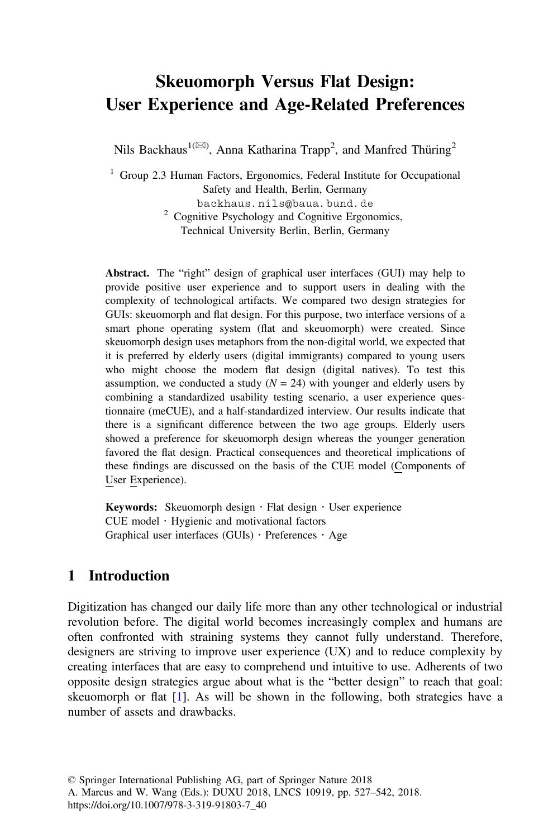# Skeuomorph Versus Flat Design: User Experience and Age-Related Preferences

Nils Backhaus<sup>1( $\boxtimes$ )</sup>, Anna Katharina Trapp<sup>2</sup>, and Manfred Thüring<sup>2</sup>

<sup>1</sup> Group 2.3 Human Factors, Ergonomics, Federal Institute for Occupational Safety and Health, Berlin, Germany backhaus.nils@baua.bund.de  $2$  Cognitive Psychology and Cognitive Ergonomics, Technical University Berlin, Berlin, Germany

Abstract. The "right" design of graphical user interfaces (GUI) may help to provide positive user experience and to support users in dealing with the complexity of technological artifacts. We compared two design strategies for GUIs: skeuomorph and flat design. For this purpose, two interface versions of a smart phone operating system (flat and skeuomorph) were created. Since skeuomorph design uses metaphors from the non-digital world, we expected that it is preferred by elderly users (digital immigrants) compared to young users who might choose the modern flat design (digital natives). To test this assumption, we conducted a study  $(N = 24)$  with younger and elderly users by combining a standardized usability testing scenario, a user experience questionnaire (meCUE), and a half-standardized interview. Our results indicate that there is a significant difference between the two age groups. Elderly users showed a preference for skeuomorph design whereas the younger generation favored the flat design. Practical consequences and theoretical implications of these findings are discussed on the basis of the CUE model (Components of User Experience).

Keywords: Skeuomorph design  $\cdot$  Flat design  $\cdot$  User experience  $CUE$  model  $\cdot$  Hygienic and motivational factors Graphical user interfaces (GUIs) · Preferences · Age

## 1 Introduction

Digitization has changed our daily life more than any other technological or industrial revolution before. The digital world becomes increasingly complex and humans are often confronted with straining systems they cannot fully understand. Therefore, designers are striving to improve user experience (UX) and to reduce complexity by creating interfaces that are easy to comprehend und intuitive to use. Adherents of two opposite design strategies argue about what is the "better design" to reach that goal: skeuomorph or flat [\[1](#page-13-0)]. As will be shown in the following, both strategies have a number of assets and drawbacks.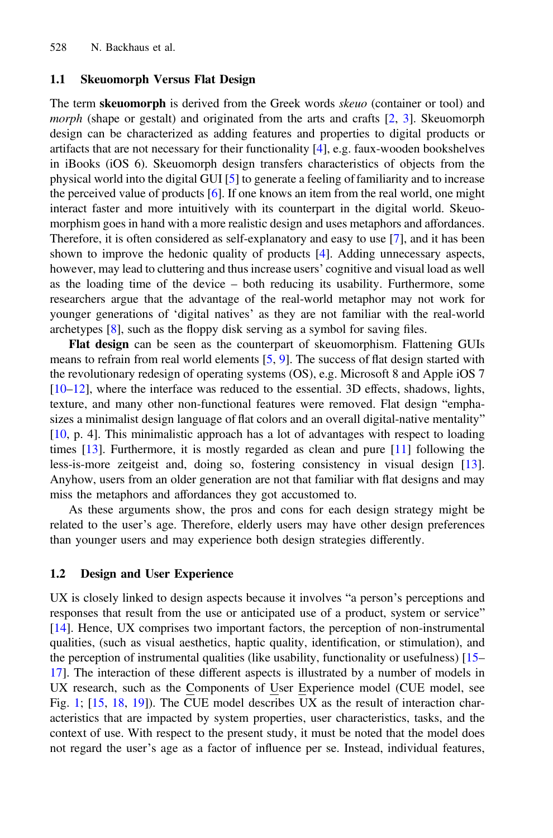#### 1.1 Skeuomorph Versus Flat Design

The term skeuomorph is derived from the Greek words skeuo (container or tool) and morph (shape or gestalt) and originated from the arts and crafts [\[2](#page-13-0), [3](#page-13-0)]. Skeuomorph design can be characterized as adding features and properties to digital products or artifacts that are not necessary for their functionality [[4\]](#page-13-0), e.g. faux-wooden bookshelves in iBooks (iOS 6). Skeuomorph design transfers characteristics of objects from the physical world into the digital GUI [[5\]](#page-13-0) to generate a feeling of familiarity and to increase the perceived value of products [\[6](#page-13-0)]. If one knows an item from the real world, one might interact faster and more intuitively with its counterpart in the digital world. Skeuomorphism goes in hand with a more realistic design and uses metaphors and affordances. Therefore, it is often considered as self-explanatory and easy to use [[7\]](#page-13-0), and it has been shown to improve the hedonic quality of products [[4\]](#page-13-0). Adding unnecessary aspects, however, may lead to cluttering and thus increase users' cognitive and visual load as well as the loading time of the device – both reducing its usability. Furthermore, some researchers argue that the advantage of the real-world metaphor may not work for younger generations of 'digital natives' as they are not familiar with the real-world archetypes [[8\]](#page-13-0), such as the floppy disk serving as a symbol for saving files.

Flat design can be seen as the counterpart of skeuomorphism. Flattening GUIs means to refrain from real world elements [[5,](#page-13-0) [9\]](#page-13-0). The success of flat design started with the revolutionary redesign of operating systems (OS), e.g. Microsoft 8 and Apple iOS 7 [[10](#page-13-0)–[12\]](#page-13-0), where the interface was reduced to the essential. 3D effects, shadows, lights, texture, and many other non-functional features were removed. Flat design "emphasizes a minimalist design language of flat colors and an overall digital-native mentality" [[10,](#page-13-0) p. 4]. This minimalistic approach has a lot of advantages with respect to loading times [\[13](#page-13-0)]. Furthermore, it is mostly regarded as clean and pure [[11\]](#page-13-0) following the less-is-more zeitgeist and, doing so, fostering consistency in visual design [[13\]](#page-13-0). Anyhow, users from an older generation are not that familiar with flat designs and may miss the metaphors and affordances they got accustomed to.

As these arguments show, the pros and cons for each design strategy might be related to the user's age. Therefore, elderly users may have other design preferences than younger users and may experience both design strategies differently.

#### 1.2 Design and User Experience

UX is closely linked to design aspects because it involves "a person's perceptions and responses that result from the use or anticipated use of a product, system or service" [[14\]](#page-13-0). Hence, UX comprises two important factors, the perception of non-instrumental qualities, (such as visual aesthetics, haptic quality, identification, or stimulation), and the perception of instrumental qualities (like usability, functionality or usefulness) [[15](#page-13-0)– [17\]](#page-13-0). The interaction of these different aspects is illustrated by a number of models in UX research, such as the Components of User Experience model (CUE model, see Fig. [1;](#page-2-0) [\[15](#page-13-0), [18,](#page-14-0) [19\]](#page-14-0)). The CUE model describes UX as the result of interaction characteristics that are impacted by system properties, user characteristics, tasks, and the context of use. With respect to the present study, it must be noted that the model does not regard the user's age as a factor of influence per se. Instead, individual features,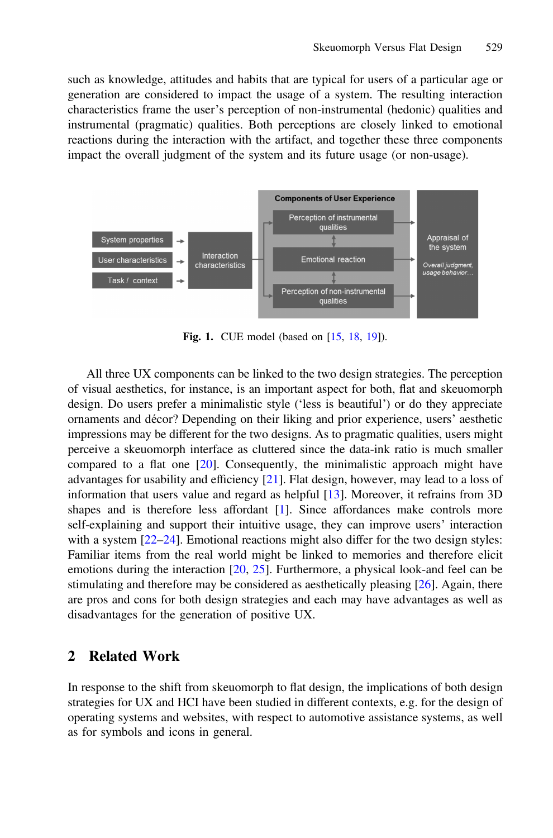<span id="page-2-0"></span>such as knowledge, attitudes and habits that are typical for users of a particular age or generation are considered to impact the usage of a system. The resulting interaction characteristics frame the user's perception of non-instrumental (hedonic) qualities and instrumental (pragmatic) qualities. Both perceptions are closely linked to emotional reactions during the interaction with the artifact, and together these three components impact the overall judgment of the system and its future usage (or non-usage).



Fig. 1. CUE model (based on [[15,](#page-13-0) [18,](#page-14-0) [19](#page-14-0)]).

All three UX components can be linked to the two design strategies. The perception of visual aesthetics, for instance, is an important aspect for both, flat and skeuomorph design. Do users prefer a minimalistic style ('less is beautiful') or do they appreciate ornaments and décor? Depending on their liking and prior experience, users' aesthetic impressions may be different for the two designs. As to pragmatic qualities, users might perceive a skeuomorph interface as cluttered since the data-ink ratio is much smaller compared to a flat one [[20\]](#page-14-0). Consequently, the minimalistic approach might have advantages for usability and efficiency [[21\]](#page-14-0). Flat design, however, may lead to a loss of information that users value and regard as helpful [\[13](#page-13-0)]. Moreover, it refrains from 3D shapes and is therefore less affordant [[1\]](#page-13-0). Since affordances make controls more self-explaining and support their intuitive usage, they can improve users' interaction with a system [[22](#page-14-0)–[24\]](#page-14-0). Emotional reactions might also differ for the two design styles: Familiar items from the real world might be linked to memories and therefore elicit emotions during the interaction [\[20](#page-14-0), [25\]](#page-14-0). Furthermore, a physical look-and feel can be stimulating and therefore may be considered as aesthetically pleasing [[26\]](#page-14-0). Again, there are pros and cons for both design strategies and each may have advantages as well as disadvantages for the generation of positive UX.

### 2 Related Work

In response to the shift from skeuomorph to flat design, the implications of both design strategies for UX and HCI have been studied in different contexts, e.g. for the design of operating systems and websites, with respect to automotive assistance systems, as well as for symbols and icons in general.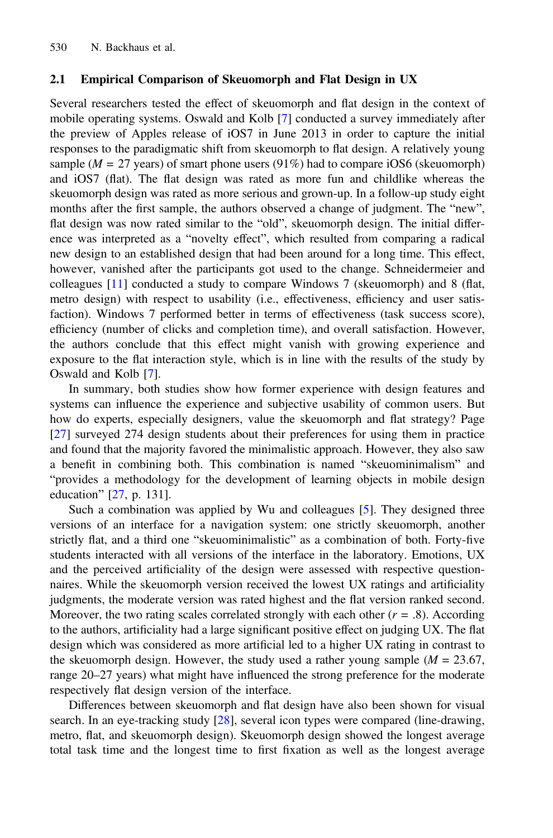#### 2.1 Empirical Comparison of Skeuomorph and Flat Design in UX

Several researchers tested the effect of skeuomorph and flat design in the context of mobile operating systems. Oswald and Kolb [[7\]](#page-13-0) conducted a survey immediately after the preview of Apples release of iOS7 in June 2013 in order to capture the initial responses to the paradigmatic shift from skeuomorph to flat design. A relatively young sample ( $M = 27$  years) of smart phone users (91%) had to compare iOS6 (skeuomorph) and iOS7 (flat). The flat design was rated as more fun and childlike whereas the skeuomorph design was rated as more serious and grown-up. In a follow-up study eight months after the first sample, the authors observed a change of judgment. The "new", flat design was now rated similar to the "old", skeuomorph design. The initial difference was interpreted as a "novelty effect", which resulted from comparing a radical new design to an established design that had been around for a long time. This effect, however, vanished after the participants got used to the change. Schneidermeier and colleagues [\[11](#page-13-0)] conducted a study to compare Windows 7 (skeuomorph) and 8 (flat, metro design) with respect to usability (i.e., effectiveness, efficiency and user satisfaction). Windows 7 performed better in terms of effectiveness (task success score), efficiency (number of clicks and completion time), and overall satisfaction. However, the authors conclude that this effect might vanish with growing experience and exposure to the flat interaction style, which is in line with the results of the study by Oswald and Kolb [\[7](#page-13-0)].

In summary, both studies show how former experience with design features and systems can influence the experience and subjective usability of common users. But how do experts, especially designers, value the skeuomorph and flat strategy? Page [[27\]](#page-14-0) surveyed 274 design students about their preferences for using them in practice and found that the majority favored the minimalistic approach. However, they also saw a benefit in combining both. This combination is named "skeuominimalism" and "provides a methodology for the development of learning objects in mobile design education" [\[27](#page-14-0), p. 131].

Such a combination was applied by Wu and colleagues [[5\]](#page-13-0). They designed three versions of an interface for a navigation system: one strictly skeuomorph, another strictly flat, and a third one "skeuominimalistic" as a combination of both. Forty-five students interacted with all versions of the interface in the laboratory. Emotions, UX and the perceived artificiality of the design were assessed with respective questionnaires. While the skeuomorph version received the lowest UX ratings and artificiality judgments, the moderate version was rated highest and the flat version ranked second. Moreover, the two rating scales correlated strongly with each other  $(r = .8)$ . According to the authors, artificiality had a large significant positive effect on judging UX. The flat design which was considered as more artificial led to a higher UX rating in contrast to the skeuomorph design. However, the study used a rather young sample ( $M = 23.67$ , range 20–27 years) what might have influenced the strong preference for the moderate respectively flat design version of the interface.

Differences between skeuomorph and flat design have also been shown for visual search. In an eye-tracking study [[28\]](#page-14-0), several icon types were compared (line-drawing, metro, flat, and skeuomorph design). Skeuomorph design showed the longest average total task time and the longest time to first fixation as well as the longest average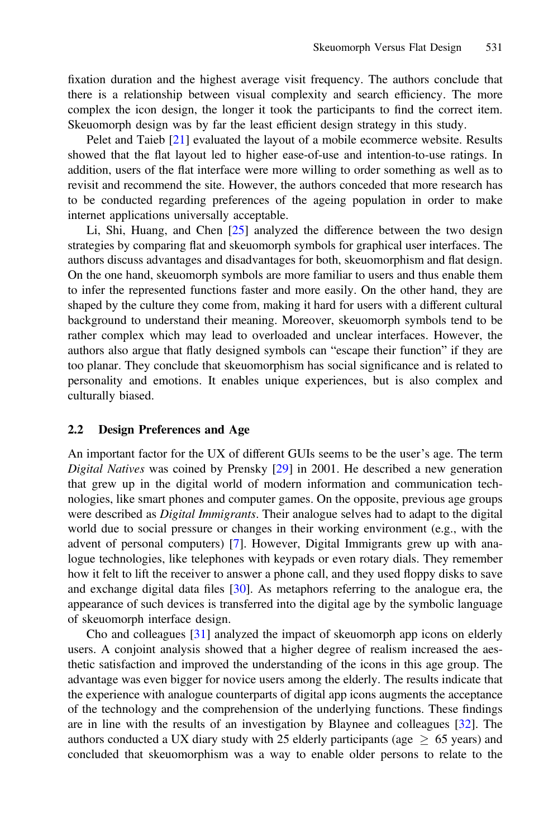<span id="page-4-0"></span>fixation duration and the highest average visit frequency. The authors conclude that there is a relationship between visual complexity and search efficiency. The more complex the icon design, the longer it took the participants to find the correct item. Skeuomorph design was by far the least efficient design strategy in this study.

Pelet and Taieb [[21\]](#page-14-0) evaluated the layout of a mobile ecommerce website. Results showed that the flat layout led to higher ease-of-use and intention-to-use ratings. In addition, users of the flat interface were more willing to order something as well as to revisit and recommend the site. However, the authors conceded that more research has to be conducted regarding preferences of the ageing population in order to make internet applications universally acceptable.

Li, Shi, Huang, and Chen [[25\]](#page-14-0) analyzed the difference between the two design strategies by comparing flat and skeuomorph symbols for graphical user interfaces. The authors discuss advantages and disadvantages for both, skeuomorphism and flat design. On the one hand, skeuomorph symbols are more familiar to users and thus enable them to infer the represented functions faster and more easily. On the other hand, they are shaped by the culture they come from, making it hard for users with a different cultural background to understand their meaning. Moreover, skeuomorph symbols tend to be rather complex which may lead to overloaded and unclear interfaces. However, the authors also argue that flatly designed symbols can "escape their function" if they are too planar. They conclude that skeuomorphism has social significance and is related to personality and emotions. It enables unique experiences, but is also complex and culturally biased.

#### 2.2 Design Preferences and Age

An important factor for the UX of different GUIs seems to be the user's age. The term Digital Natives was coined by Prensky [[29\]](#page-14-0) in 2001. He described a new generation that grew up in the digital world of modern information and communication technologies, like smart phones and computer games. On the opposite, previous age groups were described as *Digital Immigrants*. Their analogue selves had to adapt to the digital world due to social pressure or changes in their working environment (e.g., with the advent of personal computers) [\[7](#page-13-0)]. However, Digital Immigrants grew up with analogue technologies, like telephones with keypads or even rotary dials. They remember how it felt to lift the receiver to answer a phone call, and they used floppy disks to save and exchange digital data files [[30\]](#page-14-0). As metaphors referring to the analogue era, the appearance of such devices is transferred into the digital age by the symbolic language of skeuomorph interface design.

Cho and colleagues [\[31](#page-14-0)] analyzed the impact of skeuomorph app icons on elderly users. A conjoint analysis showed that a higher degree of realism increased the aesthetic satisfaction and improved the understanding of the icons in this age group. The advantage was even bigger for novice users among the elderly. The results indicate that the experience with analogue counterparts of digital app icons augments the acceptance of the technology and the comprehension of the underlying functions. These findings are in line with the results of an investigation by Blaynee and colleagues [[32\]](#page-14-0). The authors conducted a UX diary study with 25 elderly participants (age  $\geq$  65 years) and concluded that skeuomorphism was a way to enable older persons to relate to the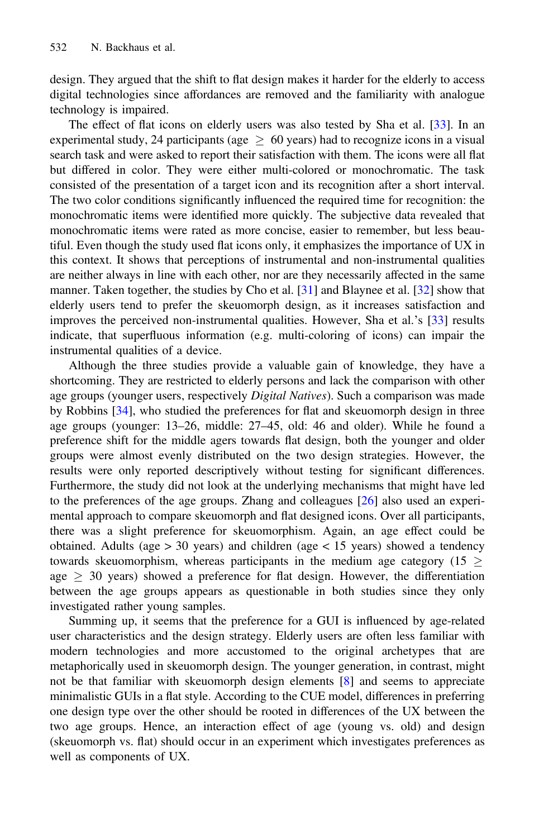design. They argued that the shift to flat design makes it harder for the elderly to access digital technologies since affordances are removed and the familiarity with analogue technology is impaired.

The effect of flat icons on elderly users was also tested by Sha et al. [[33\]](#page-14-0). In an experimental study, 24 participants (age  $> 60$  years) had to recognize icons in a visual search task and were asked to report their satisfaction with them. The icons were all flat but differed in color. They were either multi-colored or monochromatic. The task consisted of the presentation of a target icon and its recognition after a short interval. The two color conditions significantly influenced the required time for recognition: the monochromatic items were identified more quickly. The subjective data revealed that monochromatic items were rated as more concise, easier to remember, but less beautiful. Even though the study used flat icons only, it emphasizes the importance of UX in this context. It shows that perceptions of instrumental and non-instrumental qualities are neither always in line with each other, nor are they necessarily affected in the same manner. Taken together, the studies by Cho et al. [\[31](#page-14-0)] and Blaynee et al. [[32\]](#page-14-0) show that elderly users tend to prefer the skeuomorph design, as it increases satisfaction and improves the perceived non-instrumental qualities. However, Sha et al.'s [\[33](#page-14-0)] results indicate, that superfluous information (e.g. multi-coloring of icons) can impair the instrumental qualities of a device.

Although the three studies provide a valuable gain of knowledge, they have a shortcoming. They are restricted to elderly persons and lack the comparison with other age groups (younger users, respectively Digital Natives). Such a comparison was made by Robbins [\[34](#page-14-0)], who studied the preferences for flat and skeuomorph design in three age groups (younger: 13–26, middle: 27–45, old: 46 and older). While he found a preference shift for the middle agers towards flat design, both the younger and older groups were almost evenly distributed on the two design strategies. However, the results were only reported descriptively without testing for significant differences. Furthermore, the study did not look at the underlying mechanisms that might have led to the preferences of the age groups. Zhang and colleagues [\[26](#page-14-0)] also used an experimental approach to compare skeuomorph and flat designed icons. Over all participants, there was a slight preference for skeuomorphism. Again, an age effect could be obtained. Adults (age  $> 30$  years) and children (age  $< 15$  years) showed a tendency towards skeuomorphism, whereas participants in the medium age category (15  $\geq$ age  $\geq$  30 years) showed a preference for flat design. However, the differentiation between the age groups appears as questionable in both studies since they only investigated rather young samples.

Summing up, it seems that the preference for a GUI is influenced by age-related user characteristics and the design strategy. Elderly users are often less familiar with modern technologies and more accustomed to the original archetypes that are metaphorically used in skeuomorph design. The younger generation, in contrast, might not be that familiar with skeuomorph design elements [\[8](#page-13-0)] and seems to appreciate minimalistic GUIs in a flat style. According to the CUE model, differences in preferring one design type over the other should be rooted in differences of the UX between the two age groups. Hence, an interaction effect of age (young vs. old) and design (skeuomorph vs. flat) should occur in an experiment which investigates preferences as well as components of UX.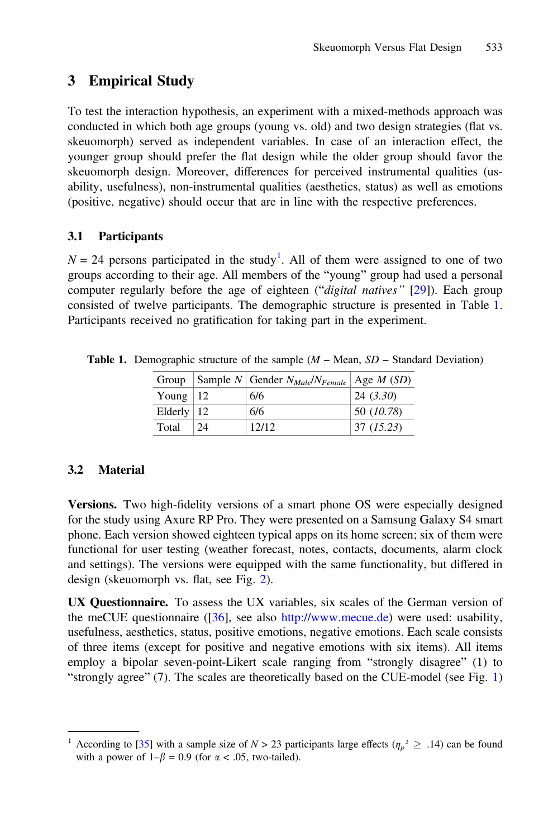## 3 Empirical Study

To test the interaction hypothesis, an experiment with a mixed-methods approach was conducted in which both age groups (young vs. old) and two design strategies (flat vs. skeuomorph) served as independent variables. In case of an interaction effect, the younger group should prefer the flat design while the older group should favor the skeuomorph design. Moreover, differences for perceived instrumental qualities (usability, usefulness), non-instrumental qualities (aesthetics, status) as well as emotions (positive, negative) should occur that are in line with the respective preferences.

## 3.1 Participants

 $N = 24$  persons participated in the study<sup>1</sup>. All of them were assigned to one of two groups according to their age. All members of the "young" group had used a personal computer regularly before the age of eighteen ("digital natives" [\[29](#page-14-0)]). Each group consisted of twelve participants. The demographic structure is presented in Table 1. Participants received no gratification for taking part in the experiment.

|                |    | Group   Sample N   Gender $N_{Male}/N_{Female}$   Age M (SD) |                                |
|----------------|----|--------------------------------------------------------------|--------------------------------|
| Young $ 12$    |    | 6/6                                                          | 24(3.30)                       |
| Elderly   $12$ |    | 6/6                                                          | $\vert 50 \vert (10.78) \vert$ |
| Total          | 24 | 12/12                                                        | 37(15.23)                      |

**Table 1.** Demographic structure of the sample  $(M - Mean, SD - Standard Deviation)$ 

## 3.2 Material

Versions. Two high-fidelity versions of a smart phone OS were especially designed for the study using Axure RP Pro. They were presented on a Samsung Galaxy S4 smart phone. Each version showed eighteen typical apps on its home screen; six of them were functional for user testing (weather forecast, notes, contacts, documents, alarm clock and settings). The versions were equipped with the same functionality, but differed in design (skeuomorph vs. flat, see Fig. [2\)](#page-7-0).

UX Questionnaire. To assess the UX variables, six scales of the German version of the meCUE questionnaire ([[36\]](#page-14-0), see also [http://www.mecue.de\)](http://www.mecue.de) were used: usability, usefulness, aesthetics, status, positive emotions, negative emotions. Each scale consists of three items (except for positive and negative emotions with six items). All items employ a bipolar seven-point-Likert scale ranging from "strongly disagree" (1) to "strongly agree" (7). The scales are theoretically based on the CUE-model (see Fig. [1](#page-2-0))

According to [\[35\]](#page-14-0) with a sample size of  $N > 23$  participants large effects ( $\eta_p^2 \geq .14$ ) can be found with a power of  $1-\beta = 0.9$  (for  $\alpha < .05$ , two-tailed).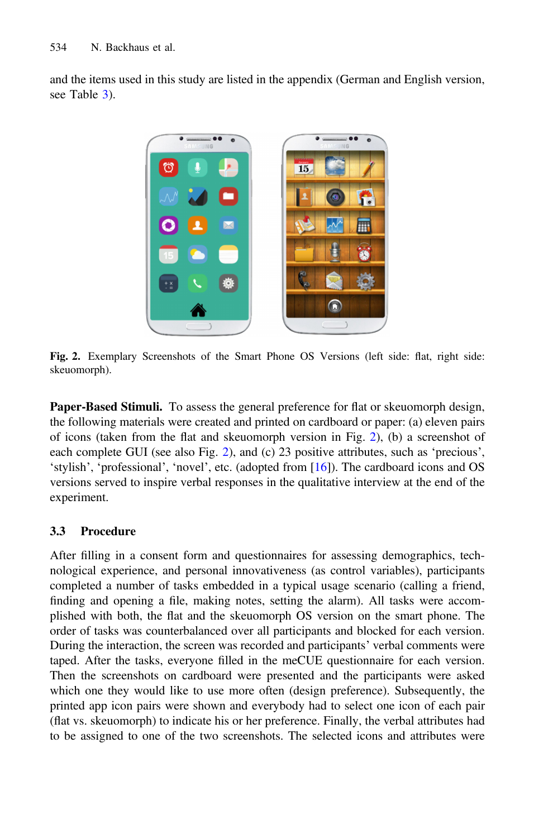<span id="page-7-0"></span>and the items used in this study are listed in the appendix (German and English version, see Table [3](#page-12-0)).



Fig. 2. Exemplary Screenshots of the Smart Phone OS Versions (left side: flat, right side: skeuomorph).

Paper-Based Stimuli. To assess the general preference for flat or skeuomorph design, the following materials were created and printed on cardboard or paper: (a) eleven pairs of icons (taken from the flat and skeuomorph version in Fig. 2), (b) a screenshot of each complete GUI (see also Fig. 2), and (c) 23 positive attributes, such as 'precious', 'stylish', 'professional', 'novel', etc. (adopted from [[16\]](#page-13-0)). The cardboard icons and OS versions served to inspire verbal responses in the qualitative interview at the end of the experiment.

## 3.3 Procedure

After filling in a consent form and questionnaires for assessing demographics, technological experience, and personal innovativeness (as control variables), participants completed a number of tasks embedded in a typical usage scenario (calling a friend, finding and opening a file, making notes, setting the alarm). All tasks were accomplished with both, the flat and the skeuomorph OS version on the smart phone. The order of tasks was counterbalanced over all participants and blocked for each version. During the interaction, the screen was recorded and participants' verbal comments were taped. After the tasks, everyone filled in the meCUE questionnaire for each version. Then the screenshots on cardboard were presented and the participants were asked which one they would like to use more often (design preference). Subsequently, the printed app icon pairs were shown and everybody had to select one icon of each pair (flat vs. skeuomorph) to indicate his or her preference. Finally, the verbal attributes had to be assigned to one of the two screenshots. The selected icons and attributes were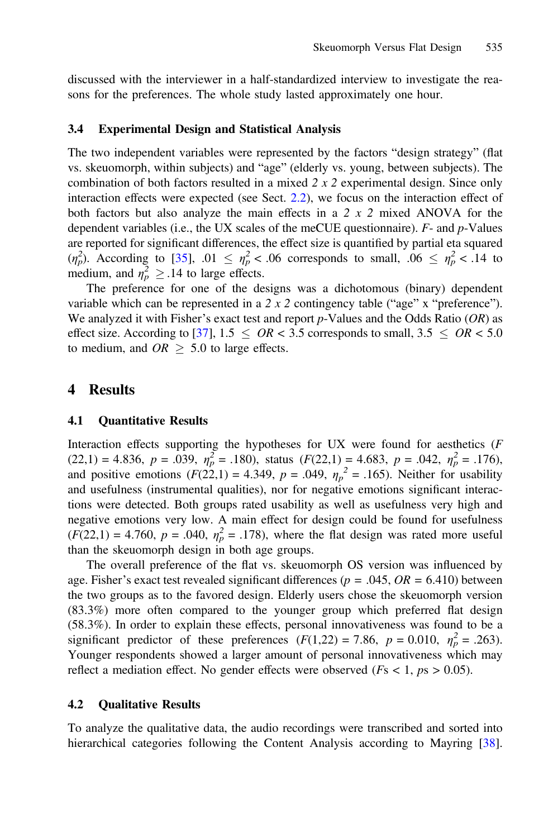discussed with the interviewer in a half-standardized interview to investigate the reasons for the preferences. The whole study lasted approximately one hour.

#### 3.4 Experimental Design and Statistical Analysis

The two independent variables were represented by the factors "design strategy" (flat vs. skeuomorph, within subjects) and "age" (elderly vs. young, between subjects). The combination of both factors resulted in a mixed  $2 \times 2$  experimental design. Since only interaction effects were expected (see Sect. [2.2\)](#page-4-0), we focus on the interaction effect of both factors but also analyze the main effects in a 2  $x$  2 mixed ANOVA for the dependent variables (i.e., the UX scales of the meCUE questionnaire).  $F$ - and  $p$ -Values are reported for significant differences, the effect size is quantified by partial eta squared  $(n_p^2)$ . According to [\[35](#page-14-0)],  $.01 \leq n_p^2 < .06$  corresponds to small,  $.06 \leq n_p^2 < .14$  to medium, and  $\eta_p^2 \geq 14$  to large effects.

The preference for one of the designs was a dichotomous (binary) dependent variable which can be represented in a  $2 \times 2$  contingency table ("age" x "preference"). We analyzed it with Fisher's exact test and report  $p$ -Values and the Odds Ratio (OR) as effect size. According to [[37\]](#page-15-0),  $1.5 \leq OR < 3.5$  corresponds to small,  $3.5 \leq OR < 5.0$ to medium, and  $OR \geq 5.0$  to large effects.

### 4 Results

#### 4.1 Quantitative Results

Interaction effects supporting the hypotheses for UX were found for aesthetics  $(F)$  $(22,1) = 4.836, p = .039, \eta_p^2 = .180),$  status  $(F(22,1) = 4.683, p = .042, \eta_p^2 = .176)$ , and positive emotions  $(F(22,1) = 4.349, p = .049, \eta_p^2 = .165)$ . Neither for usability and usefulness (instrumental qualities), nor for negative emotions significant interactions were detected. Both groups rated usability as well as usefulness very high and negative emotions very low. A main effect for design could be found for usefulness  $(F(22,1) = 4.760, p = .040, \eta_p^2 = .178)$ , where the flat design was rated more useful than the skeuomorph design in both age groups.

The overall preference of the flat vs. skeuomorph OS version was influenced by age. Fisher's exact test revealed significant differences ( $p = .045$ ,  $OR = 6.410$ ) between the two groups as to the favored design. Elderly users chose the skeuomorph version (83.3%) more often compared to the younger group which preferred flat design (58.3%). In order to explain these effects, personal innovativeness was found to be a significant predictor of these preferences  $(F(1,22) = 7.86, p = 0.010, \eta_p^2 = .263)$ . Younger respondents showed a larger amount of personal innovativeness which may reflect a mediation effect. No gender effects were observed ( $Fs < 1, ps > 0.05$ ).

#### 4.2 Qualitative Results

To analyze the qualitative data, the audio recordings were transcribed and sorted into hierarchical categories following the Content Analysis according to Mayring [[38\]](#page-15-0).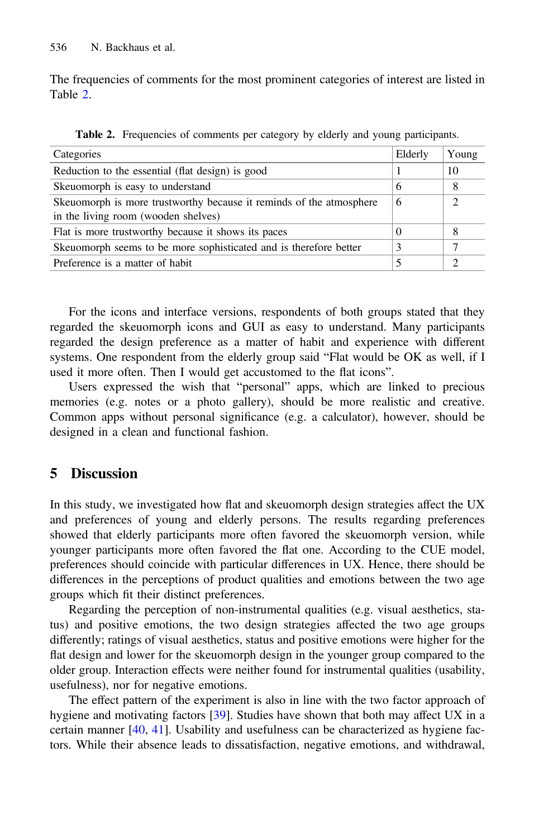The frequencies of comments for the most prominent categories of interest are listed in Table 2.

|  |  |  |  |  |  |  |  |  | Table 2. Frequencies of comments per category by elderly and young participants. |
|--|--|--|--|--|--|--|--|--|----------------------------------------------------------------------------------|
|--|--|--|--|--|--|--|--|--|----------------------------------------------------------------------------------|

| Categories                                                          | Elderly | Young |
|---------------------------------------------------------------------|---------|-------|
| Reduction to the essential (flat design) is good                    |         | 10    |
| Skeuomorph is easy to understand                                    | 6       |       |
| Skeuomorph is more trustworthy because it reminds of the atmosphere | 6       | C     |
| in the living room (wooden shelves)                                 |         |       |
| Flat is more trustworthy because it shows its paces                 |         |       |
| Skeuomorph seems to be more sophisticated and is therefore better   |         |       |
| Preference is a matter of habit                                     |         |       |

For the icons and interface versions, respondents of both groups stated that they regarded the skeuomorph icons and GUI as easy to understand. Many participants regarded the design preference as a matter of habit and experience with different systems. One respondent from the elderly group said "Flat would be OK as well, if I used it more often. Then I would get accustomed to the flat icons".

Users expressed the wish that "personal" apps, which are linked to precious memories (e.g. notes or a photo gallery), should be more realistic and creative. Common apps without personal significance (e.g. a calculator), however, should be designed in a clean and functional fashion.

## 5 Discussion

In this study, we investigated how flat and skeuomorph design strategies affect the UX and preferences of young and elderly persons. The results regarding preferences showed that elderly participants more often favored the skeuomorph version, while younger participants more often favored the flat one. According to the CUE model, preferences should coincide with particular differences in UX. Hence, there should be differences in the perceptions of product qualities and emotions between the two age groups which fit their distinct preferences.

Regarding the perception of non-instrumental qualities (e.g. visual aesthetics, status) and positive emotions, the two design strategies affected the two age groups differently; ratings of visual aesthetics, status and positive emotions were higher for the flat design and lower for the skeuomorph design in the younger group compared to the older group. Interaction effects were neither found for instrumental qualities (usability, usefulness), nor for negative emotions.

The effect pattern of the experiment is also in line with the two factor approach of hygiene and motivating factors [[39\]](#page-15-0). Studies have shown that both may affect UX in a certain manner [\[40](#page-15-0), [41\]](#page-15-0). Usability and usefulness can be characterized as hygiene factors. While their absence leads to dissatisfaction, negative emotions, and withdrawal,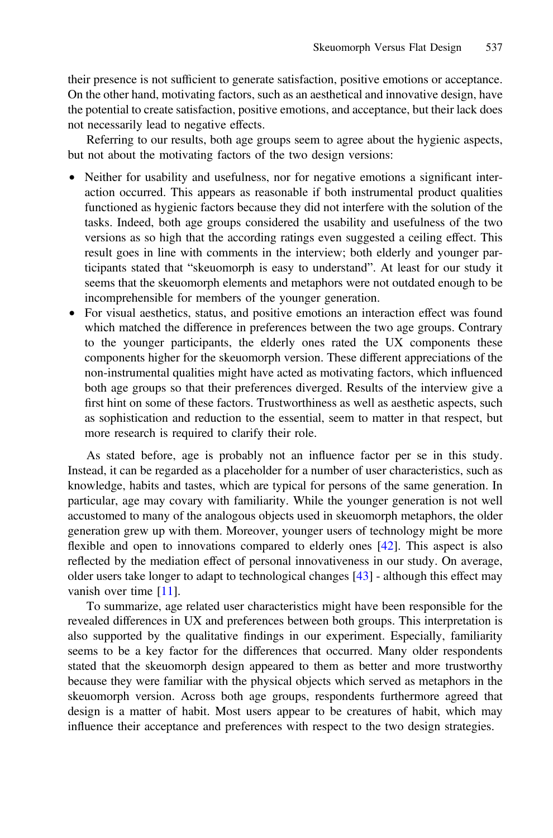their presence is not sufficient to generate satisfaction, positive emotions or acceptance. On the other hand, motivating factors, such as an aesthetical and innovative design, have the potential to create satisfaction, positive emotions, and acceptance, but their lack does not necessarily lead to negative effects.

Referring to our results, both age groups seem to agree about the hygienic aspects, but not about the motivating factors of the two design versions:

- Neither for usability and usefulness, nor for negative emotions a significant interaction occurred. This appears as reasonable if both instrumental product qualities functioned as hygienic factors because they did not interfere with the solution of the tasks. Indeed, both age groups considered the usability and usefulness of the two versions as so high that the according ratings even suggested a ceiling effect. This result goes in line with comments in the interview; both elderly and younger participants stated that "skeuomorph is easy to understand". At least for our study it seems that the skeuomorph elements and metaphors were not outdated enough to be incomprehensible for members of the younger generation.
- For visual aesthetics, status, and positive emotions an interaction effect was found which matched the difference in preferences between the two age groups. Contrary to the younger participants, the elderly ones rated the UX components these components higher for the skeuomorph version. These different appreciations of the non-instrumental qualities might have acted as motivating factors, which influenced both age groups so that their preferences diverged. Results of the interview give a first hint on some of these factors. Trustworthiness as well as aesthetic aspects, such as sophistication and reduction to the essential, seem to matter in that respect, but more research is required to clarify their role.

As stated before, age is probably not an influence factor per se in this study. Instead, it can be regarded as a placeholder for a number of user characteristics, such as knowledge, habits and tastes, which are typical for persons of the same generation. In particular, age may covary with familiarity. While the younger generation is not well accustomed to many of the analogous objects used in skeuomorph metaphors, the older generation grew up with them. Moreover, younger users of technology might be more flexible and open to innovations compared to elderly ones [\[42](#page-15-0)]. This aspect is also reflected by the mediation effect of personal innovativeness in our study. On average, older users take longer to adapt to technological changes [\[43](#page-15-0)] - although this effect may vanish over time [[11\]](#page-13-0).

To summarize, age related user characteristics might have been responsible for the revealed differences in UX and preferences between both groups. This interpretation is also supported by the qualitative findings in our experiment. Especially, familiarity seems to be a key factor for the differences that occurred. Many older respondents stated that the skeuomorph design appeared to them as better and more trustworthy because they were familiar with the physical objects which served as metaphors in the skeuomorph version. Across both age groups, respondents furthermore agreed that design is a matter of habit. Most users appear to be creatures of habit, which may influence their acceptance and preferences with respect to the two design strategies.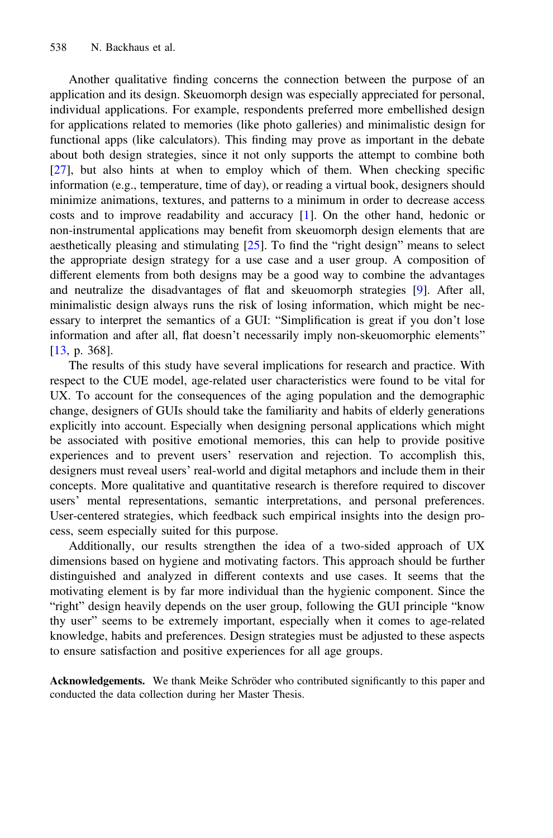Another qualitative finding concerns the connection between the purpose of an application and its design. Skeuomorph design was especially appreciated for personal, individual applications. For example, respondents preferred more embellished design for applications related to memories (like photo galleries) and minimalistic design for functional apps (like calculators). This finding may prove as important in the debate about both design strategies, since it not only supports the attempt to combine both [[27\]](#page-14-0), but also hints at when to employ which of them. When checking specific information (e.g., temperature, time of day), or reading a virtual book, designers should minimize animations, textures, and patterns to a minimum in order to decrease access costs and to improve readability and accuracy [\[1](#page-13-0)]. On the other hand, hedonic or non-instrumental applications may benefit from skeuomorph design elements that are aesthetically pleasing and stimulating [[25\]](#page-14-0). To find the "right design" means to select the appropriate design strategy for a use case and a user group. A composition of different elements from both designs may be a good way to combine the advantages and neutralize the disadvantages of flat and skeuomorph strategies [\[9](#page-13-0)]. After all, minimalistic design always runs the risk of losing information, which might be necessary to interpret the semantics of a GUI: "Simplification is great if you don't lose information and after all, flat doesn't necessarily imply non-skeuomorphic elements" [[13,](#page-13-0) p. 368].

The results of this study have several implications for research and practice. With respect to the CUE model, age-related user characteristics were found to be vital for UX. To account for the consequences of the aging population and the demographic change, designers of GUIs should take the familiarity and habits of elderly generations explicitly into account. Especially when designing personal applications which might be associated with positive emotional memories, this can help to provide positive experiences and to prevent users' reservation and rejection. To accomplish this, designers must reveal users' real-world and digital metaphors and include them in their concepts. More qualitative and quantitative research is therefore required to discover users' mental representations, semantic interpretations, and personal preferences. User-centered strategies, which feedback such empirical insights into the design process, seem especially suited for this purpose.

Additionally, our results strengthen the idea of a two-sided approach of UX dimensions based on hygiene and motivating factors. This approach should be further distinguished and analyzed in different contexts and use cases. It seems that the motivating element is by far more individual than the hygienic component. Since the "right" design heavily depends on the user group, following the GUI principle "know thy user" seems to be extremely important, especially when it comes to age-related knowledge, habits and preferences. Design strategies must be adjusted to these aspects to ensure satisfaction and positive experiences for all age groups.

Acknowledgements. We thank Meike Schröder who contributed significantly to this paper and conducted the data collection during her Master Thesis.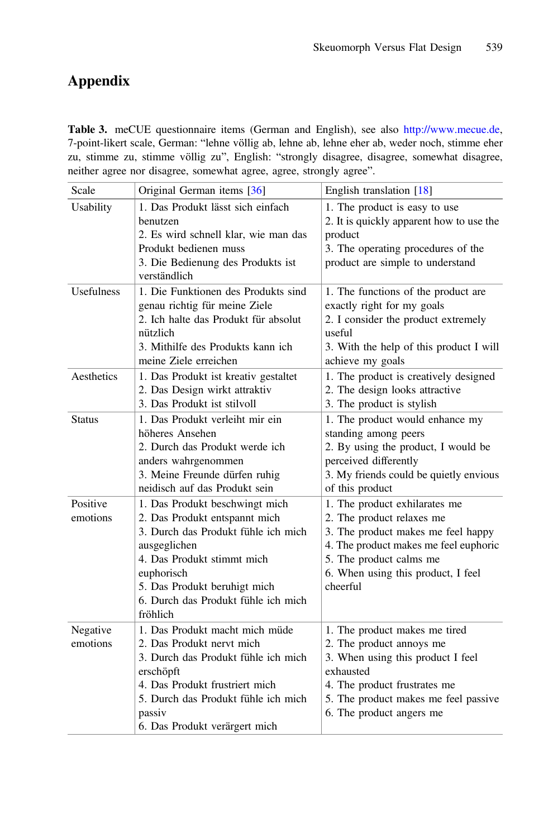## <span id="page-12-0"></span>Appendix

Table 3. meCUE questionnaire items (German and English), see also <http://www.mecue.de>, 7-point-likert scale, German: "lehne völlig ab, lehne ab, lehne eher ab, weder noch, stimme eher zu, stimme zu, stimme völlig zu", English: "strongly disagree, disagree, somewhat disagree, neither agree nor disagree, somewhat agree, agree, strongly agree".

| Scale         | Original German items [36]                                 | English translation [18]                                                  |
|---------------|------------------------------------------------------------|---------------------------------------------------------------------------|
| Usability     | 1. Das Produkt lässt sich einfach<br>benutzen              | 1. The product is easy to use<br>2. It is quickly apparent how to use the |
|               | 2. Es wird schnell klar, wie man das                       | product                                                                   |
|               | Produkt bedienen muss<br>3. Die Bedienung des Produkts ist | 3. The operating procedures of the<br>product are simple to understand    |
|               | verständlich                                               |                                                                           |
| Usefulness    | 1. Die Funktionen des Produkts sind                        | 1. The functions of the product are                                       |
|               | genau richtig für meine Ziele                              | exactly right for my goals                                                |
|               | 2. Ich halte das Produkt für absolut                       | 2. I consider the product extremely                                       |
|               | nützlich                                                   | useful                                                                    |
|               | 3. Mithilfe des Produkts kann ich                          | 3. With the help of this product I will                                   |
|               | meine Ziele erreichen                                      | achieve my goals                                                          |
| Aesthetics    | 1. Das Produkt ist kreativ gestaltet                       | 1. The product is creatively designed                                     |
|               | 2. Das Design wirkt attraktiv                              | 2. The design looks attractive                                            |
|               | 3. Das Produkt ist stilvoll                                | 3. The product is stylish                                                 |
| <b>Status</b> | 1. Das Produkt verleiht mir ein                            | 1. The product would enhance my                                           |
|               | höheres Ansehen                                            | standing among peers                                                      |
|               | 2. Durch das Produkt werde ich                             | 2. By using the product, I would be                                       |
|               | anders wahrgenommen                                        | perceived differently                                                     |
|               | 3. Meine Freunde dürfen ruhig                              | 3. My friends could be quietly envious                                    |
|               | neidisch auf das Produkt sein                              | of this product                                                           |
| Positive      | 1. Das Produkt beschwingt mich                             | 1. The product exhilarates me                                             |
| emotions      | 2. Das Produkt entspannt mich                              | 2. The product relaxes me                                                 |
|               | 3. Durch das Produkt fühle ich mich                        | 3. The product makes me feel happy                                        |
|               | ausgeglichen                                               | 4. The product makes me feel euphoric                                     |
|               | 4. Das Produkt stimmt mich                                 | 5. The product calms me                                                   |
|               | euphorisch                                                 | 6. When using this product, I feel                                        |
|               | 5. Das Produkt beruhigt mich                               | cheerful                                                                  |
|               | 6. Durch das Produkt fühle ich mich                        |                                                                           |
|               | fröhlich                                                   |                                                                           |
| Negative      | 1. Das Produkt macht mich müde                             | 1. The product makes me tired                                             |
| emotions      | 2. Das Produkt nervt mich                                  | 2. The product annoys me                                                  |
|               | 3. Durch das Produkt fühle ich mich                        | 3. When using this product I feel                                         |
|               | erschöpft                                                  | exhausted                                                                 |
|               | 4. Das Produkt frustriert mich                             | 4. The product frustrates me                                              |
|               | 5. Durch das Produkt fühle ich mich                        | 5. The product makes me feel passive                                      |
|               | passiv                                                     | 6. The product angers me                                                  |
|               | 6. Das Produkt verärgert mich                              |                                                                           |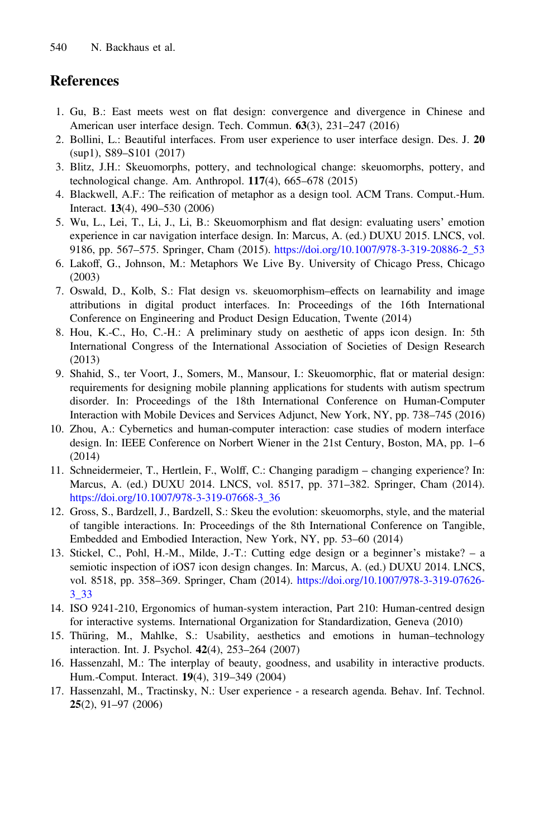## <span id="page-13-0"></span>References

- 1. Gu, B.: East meets west on flat design: convergence and divergence in Chinese and American user interface design. Tech. Commun. 63(3), 231–247 (2016)
- 2. Bollini, L.: Beautiful interfaces. From user experience to user interface design. Des. J. 20 (sup1), S89–S101 (2017)
- 3. Blitz, J.H.: Skeuomorphs, pottery, and technological change: skeuomorphs, pottery, and technological change. Am. Anthropol. 117(4), 665–678 (2015)
- 4. Blackwell, A.F.: The reification of metaphor as a design tool. ACM Trans. Comput.-Hum. Interact. 13(4), 490–530 (2006)
- 5. Wu, L., Lei, T., Li, J., Li, B.: Skeuomorphism and flat design: evaluating users' emotion experience in car navigation interface design. In: Marcus, A. (ed.) DUXU 2015. LNCS, vol. 9186, pp. 567–575. Springer, Cham (2015). [https://doi.org/10.1007/978-3-319-20886-2\\_53](http://dx.doi.org/10.1007/978-3-319-20886-2_53)
- 6. Lakoff, G., Johnson, M.: Metaphors We Live By. University of Chicago Press, Chicago (2003)
- 7. Oswald, D., Kolb, S.: Flat design vs. skeuomorphism–effects on learnability and image attributions in digital product interfaces. In: Proceedings of the 16th International Conference on Engineering and Product Design Education, Twente (2014)
- 8. Hou, K.-C., Ho, C.-H.: A preliminary study on aesthetic of apps icon design. In: 5th International Congress of the International Association of Societies of Design Research (2013)
- 9. Shahid, S., ter Voort, J., Somers, M., Mansour, I.: Skeuomorphic, flat or material design: requirements for designing mobile planning applications for students with autism spectrum disorder. In: Proceedings of the 18th International Conference on Human-Computer Interaction with Mobile Devices and Services Adjunct, New York, NY, pp. 738–745 (2016)
- 10. Zhou, A.: Cybernetics and human-computer interaction: case studies of modern interface design. In: IEEE Conference on Norbert Wiener in the 21st Century, Boston, MA, pp. 1–6 (2014)
- 11. Schneidermeier, T., Hertlein, F., Wolff, C.: Changing paradigm changing experience? In: Marcus, A. (ed.) DUXU 2014. LNCS, vol. 8517, pp. 371–382. Springer, Cham (2014). [https://doi.org/10.1007/978-3-319-07668-3\\_36](http://dx.doi.org/10.1007/978-3-319-07668-3_36)
- 12. Gross, S., Bardzell, J., Bardzell, S.: Skeu the evolution: skeuomorphs, style, and the material of tangible interactions. In: Proceedings of the 8th International Conference on Tangible, Embedded and Embodied Interaction, New York, NY, pp. 53–60 (2014)
- 13. Stickel, C., Pohl, H.-M., Milde, J.-T.: Cutting edge design or a beginner's mistake? a semiotic inspection of iOS7 icon design changes. In: Marcus, A. (ed.) DUXU 2014. LNCS, vol. 8518, pp. 358–369. Springer, Cham (2014). [https://doi.org/10.1007/978-3-319-07626-](http://dx.doi.org/10.1007/978-3-319-07626-3_33) [3\\_33](http://dx.doi.org/10.1007/978-3-319-07626-3_33)
- 14. ISO 9241-210, Ergonomics of human-system interaction, Part 210: Human-centred design for interactive systems. International Organization for Standardization, Geneva (2010)
- 15. Thüring, M., Mahlke, S.: Usability, aesthetics and emotions in human–technology interaction. Int. J. Psychol. 42(4), 253–264 (2007)
- 16. Hassenzahl, M.: The interplay of beauty, goodness, and usability in interactive products. Hum.-Comput. Interact. 19(4), 319–349 (2004)
- 17. Hassenzahl, M., Tractinsky, N.: User experience a research agenda. Behav. Inf. Technol. 25(2), 91–97 (2006)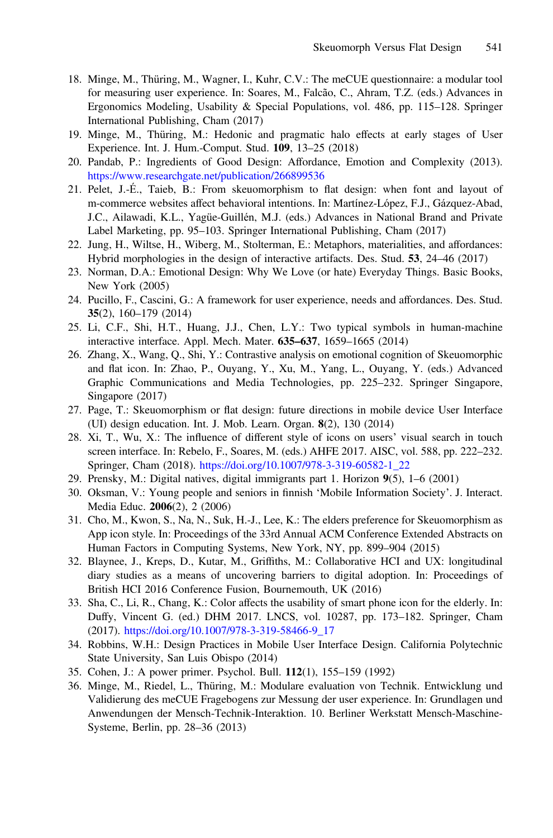- <span id="page-14-0"></span>18. Minge, M., Thüring, M., Wagner, I., Kuhr, C.V.: The meCUE questionnaire: a modular tool for measuring user experience. In: Soares, M., Falcão, C., Ahram, T.Z. (eds.) Advances in Ergonomics Modeling, Usability & Special Populations, vol. 486, pp. 115–128. Springer International Publishing, Cham (2017)
- 19. Minge, M., Thüring, M.: Hedonic and pragmatic halo effects at early stages of User Experience. Int. J. Hum.-Comput. Stud. 109, 13–25 (2018)
- 20. Pandab, P.: Ingredients of Good Design: Affordance, Emotion and Complexity (2013). <https://www.researchgate.net/publication/266899536>
- 21. Pelet, J.-É., Taieb, B.: From skeuomorphism to flat design: when font and layout of m-commerce websites affect behavioral intentions. In: Martínez-López, F.J., Gázquez-Abad, J.C., Ailawadi, K.L., Yagüe-Guillén, M.J. (eds.) Advances in National Brand and Private Label Marketing, pp. 95–103. Springer International Publishing, Cham (2017)
- 22. Jung, H., Wiltse, H., Wiberg, M., Stolterman, E.: Metaphors, materialities, and affordances: Hybrid morphologies in the design of interactive artifacts. Des. Stud. 53, 24–46 (2017)
- 23. Norman, D.A.: Emotional Design: Why We Love (or hate) Everyday Things. Basic Books, New York (2005)
- 24. Pucillo, F., Cascini, G.: A framework for user experience, needs and affordances. Des. Stud. 35(2), 160–179 (2014)
- 25. Li, C.F., Shi, H.T., Huang, J.J., Chen, L.Y.: Two typical symbols in human-machine interactive interface. Appl. Mech. Mater. 635–637, 1659–1665 (2014)
- 26. Zhang, X., Wang, Q., Shi, Y.: Contrastive analysis on emotional cognition of Skeuomorphic and flat icon. In: Zhao, P., Ouyang, Y., Xu, M., Yang, L., Ouyang, Y. (eds.) Advanced Graphic Communications and Media Technologies, pp. 225–232. Springer Singapore, Singapore (2017)
- 27. Page, T.: Skeuomorphism or flat design: future directions in mobile device User Interface (UI) design education. Int. J. Mob. Learn. Organ. 8(2), 130 (2014)
- 28. Xi, T., Wu, X.: The influence of different style of icons on users' visual search in touch screen interface. In: Rebelo, F., Soares, M. (eds.) AHFE 2017. AISC, vol. 588, pp. 222–232. Springer, Cham (2018). [https://doi.org/10.1007/978-3-319-60582-1\\_22](http://dx.doi.org/10.1007/978-3-319-60582-1_22)
- 29. Prensky, M.: Digital natives, digital immigrants part 1. Horizon 9(5), 1–6 (2001)
- 30. Oksman, V.: Young people and seniors in finnish 'Mobile Information Society'. J. Interact. Media Educ. 2006(2), 2 (2006)
- 31. Cho, M., Kwon, S., Na, N., Suk, H.-J., Lee, K.: The elders preference for Skeuomorphism as App icon style. In: Proceedings of the 33rd Annual ACM Conference Extended Abstracts on Human Factors in Computing Systems, New York, NY, pp. 899–904 (2015)
- 32. Blaynee, J., Kreps, D., Kutar, M., Griffiths, M.: Collaborative HCI and UX: longitudinal diary studies as a means of uncovering barriers to digital adoption. In: Proceedings of British HCI 2016 Conference Fusion, Bournemouth, UK (2016)
- 33. Sha, C., Li, R., Chang, K.: Color affects the usability of smart phone icon for the elderly. In: Duffy, Vincent G. (ed.) DHM 2017. LNCS, vol. 10287, pp. 173–182. Springer, Cham (2017). [https://doi.org/10.1007/978-3-319-58466-9\\_17](http://dx.doi.org/10.1007/978-3-319-58466-9_17)
- 34. Robbins, W.H.: Design Practices in Mobile User Interface Design. California Polytechnic State University, San Luis Obispo (2014)
- 35. Cohen, J.: A power primer. Psychol. Bull. 112(1), 155–159 (1992)
- 36. Minge, M., Riedel, L., Thüring, M.: Modulare evaluation von Technik. Entwicklung und Validierung des meCUE Fragebogens zur Messung der user experience. In: Grundlagen und Anwendungen der Mensch-Technik-Interaktion. 10. Berliner Werkstatt Mensch-Maschine-Systeme, Berlin, pp. 28–36 (2013)